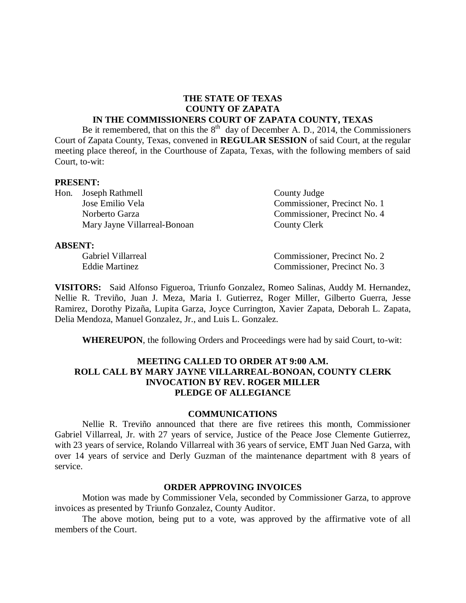#### **THE STATE OF TEXAS COUNTY OF ZAPATA IN THE COMMISSIONERS COURT OF ZAPATA COUNTY, TEXAS**

Be it remembered, that on this the  $8<sup>th</sup>$  day of December A. D., 2014, the Commissioners Court of Zapata County, Texas, convened in **REGULAR SESSION** of said Court, at the regular meeting place thereof, in the Courthouse of Zapata, Texas, with the following members of said Court, to-wit:

#### **PRESENT:**

Hon. Joseph Rathmell County Judge Jose Emilio Vela Commissioner, Precinct No. 1 Norberto Garza Commissioner, Precinct No. 4 Mary Jayne Villarreal-Bonoan County Clerk

#### **ABSENT:**

Gabriel Villarreal Commissioner, Precinct No. 2 Eddie Martinez Commissioner, Precinct No. 3

**VISITORS:** Said Alfonso Figueroa, Triunfo Gonzalez, Romeo Salinas, Auddy M. Hernandez, Nellie R. Treviño, Juan J. Meza, Maria I. Gutierrez, Roger Miller, Gilberto Guerra, Jesse Ramirez, Dorothy Pizaña, Lupita Garza, Joyce Currington, Xavier Zapata, Deborah L. Zapata, Delia Mendoza, Manuel Gonzalez, Jr., and Luis L. Gonzalez.

**WHEREUPON**, the following Orders and Proceedings were had by said Court, to-wit:

## **MEETING CALLED TO ORDER AT 9:00 A.M. ROLL CALL BY MARY JAYNE VILLARREAL-BONOAN, COUNTY CLERK INVOCATION BY REV. ROGER MILLER PLEDGE OF ALLEGIANCE**

#### **COMMUNICATIONS**

Nellie R. Treviño announced that there are five retirees this month, Commissioner Gabriel Villarreal, Jr. with 27 years of service, Justice of the Peace Jose Clemente Gutierrez, with 23 years of service, Rolando Villarreal with 36 years of service, EMT Juan Ned Garza, with over 14 years of service and Derly Guzman of the maintenance department with 8 years of service.

#### **ORDER APPROVING INVOICES**

Motion was made by Commissioner Vela, seconded by Commissioner Garza, to approve invoices as presented by Triunfo Gonzalez, County Auditor.

The above motion, being put to a vote, was approved by the affirmative vote of all members of the Court.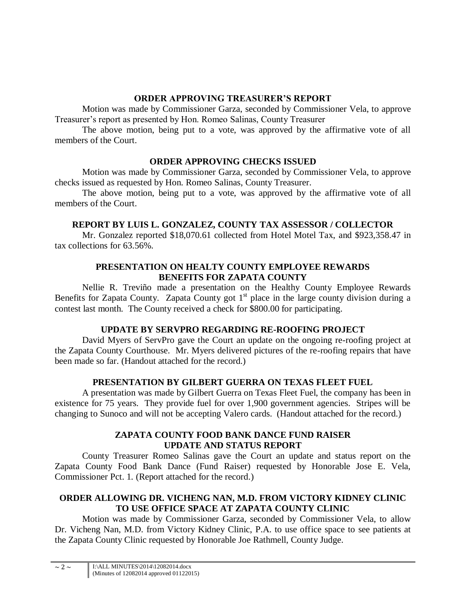# **ORDER APPROVING TREASURER'S REPORT**

Motion was made by Commissioner Garza, seconded by Commissioner Vela, to approve Treasurer's report as presented by Hon. Romeo Salinas, County Treasurer

The above motion, being put to a vote, was approved by the affirmative vote of all members of the Court.

# **ORDER APPROVING CHECKS ISSUED**

Motion was made by Commissioner Garza, seconded by Commissioner Vela, to approve checks issued as requested by Hon. Romeo Salinas, County Treasurer.

The above motion, being put to a vote, was approved by the affirmative vote of all members of the Court.

# **REPORT BY LUIS L. GONZALEZ, COUNTY TAX ASSESSOR / COLLECTOR**

Mr. Gonzalez reported \$18,070.61 collected from Hotel Motel Tax, and \$923,358.47 in tax collections for 63.56%.

# **PRESENTATION ON HEALTY COUNTY EMPLOYEE REWARDS BENEFITS FOR ZAPATA COUNTY**

Nellie R. Treviño made a presentation on the Healthy County Employee Rewards Benefits for Zapata County. Zapata County got  $1<sup>st</sup>$  place in the large county division during a contest last month. The County received a check for \$800.00 for participating.

# **UPDATE BY SERVPRO REGARDING RE-ROOFING PROJECT**

David Myers of ServPro gave the Court an update on the ongoing re-roofing project at the Zapata County Courthouse. Mr. Myers delivered pictures of the re-roofing repairs that have been made so far. (Handout attached for the record.)

# **PRESENTATION BY GILBERT GUERRA ON TEXAS FLEET FUEL**

A presentation was made by Gilbert Guerra on Texas Fleet Fuel, the company has been in existence for 75 years. They provide fuel for over 1,900 government agencies. Stripes will be changing to Sunoco and will not be accepting Valero cards. (Handout attached for the record.)

# **ZAPATA COUNTY FOOD BANK DANCE FUND RAISER UPDATE AND STATUS REPORT**

County Treasurer Romeo Salinas gave the Court an update and status report on the Zapata County Food Bank Dance (Fund Raiser) requested by Honorable Jose E. Vela, Commissioner Pct. 1. (Report attached for the record.)

# **ORDER ALLOWING DR. VICHENG NAN, M.D. FROM VICTORY KIDNEY CLINIC TO USE OFFICE SPACE AT ZAPATA COUNTY CLINIC**

Motion was made by Commissioner Garza, seconded by Commissioner Vela, to allow Dr. Vicheng Nan, M.D. from Victory Kidney Clinic, P.A. to use office space to see patients at the Zapata County Clinic requested by Honorable Joe Rathmell, County Judge.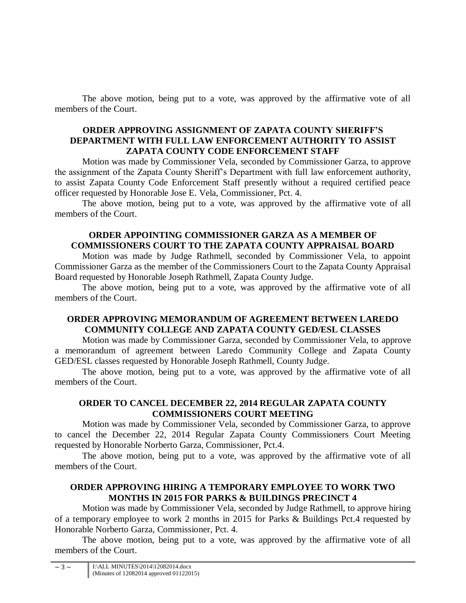The above motion, being put to a vote, was approved by the affirmative vote of all members of the Court.

### **ORDER APPROVING ASSIGNMENT OF ZAPATA COUNTY SHERIFF'S DEPARTMENT WITH FULL LAW ENFORCEMENT AUTHORITY TO ASSIST ZAPATA COUNTY CODE ENFORCEMENT STAFF**

Motion was made by Commissioner Vela, seconded by Commissioner Garza, to approve the assignment of the Zapata County Sheriff's Department with full law enforcement authority, to assist Zapata County Code Enforcement Staff presently without a required certified peace officer requested by Honorable Jose E. Vela, Commissioner, Pct. 4.

The above motion, being put to a vote, was approved by the affirmative vote of all members of the Court.

# **ORDER APPOINTING COMMISSIONER GARZA AS A MEMBER OF COMMISSIONERS COURT TO THE ZAPATA COUNTY APPRAISAL BOARD**

Motion was made by Judge Rathmell, seconded by Commissioner Vela, to appoint Commissioner Garza as the member of the Commissioners Court to the Zapata County Appraisal Board requested by Honorable Joseph Rathmell, Zapata County Judge.

The above motion, being put to a vote, was approved by the affirmative vote of all members of the Court.

# **ORDER APPROVING MEMORANDUM OF AGREEMENT BETWEEN LAREDO COMMUNITY COLLEGE AND ZAPATA COUNTY GED/ESL CLASSES**

Motion was made by Commissioner Garza, seconded by Commissioner Vela, to approve a memorandum of agreement between Laredo Community College and Zapata County GED/ESL classes requested by Honorable Joseph Rathmell, County Judge.

The above motion, being put to a vote, was approved by the affirmative vote of all members of the Court.

# **ORDER TO CANCEL DECEMBER 22, 2014 REGULAR ZAPATA COUNTY COMMISSIONERS COURT MEETING**

Motion was made by Commissioner Vela, seconded by Commissioner Garza, to approve to cancel the December 22, 2014 Regular Zapata County Commissioners Court Meeting requested by Honorable Norberto Garza, Commissioner, Pct.4.

The above motion, being put to a vote, was approved by the affirmative vote of all members of the Court.

# **ORDER APPROVING HIRING A TEMPORARY EMPLOYEE TO WORK TWO MONTHS IN 2015 FOR PARKS & BUILDINGS PRECINCT 4**

Motion was made by Commissioner Vela, seconded by Judge Rathmell, to approve hiring of a temporary employee to work 2 months in 2015 for Parks & Buildings Pct.4 requested by Honorable Norberto Garza, Commissioner, Pct. 4.

The above motion, being put to a vote, was approved by the affirmative vote of all members of the Court.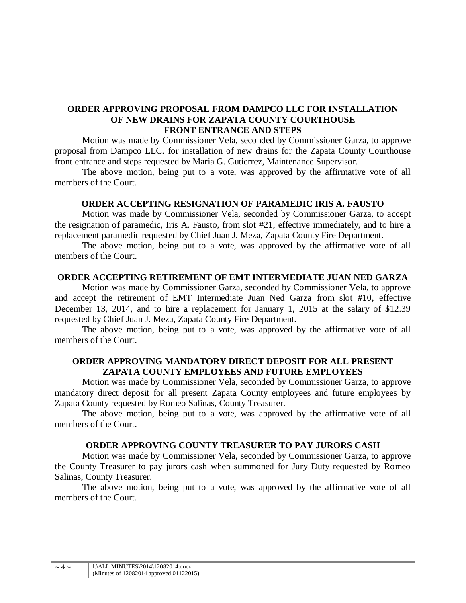## **ORDER APPROVING PROPOSAL FROM DAMPCO LLC FOR INSTALLATION OF NEW DRAINS FOR ZAPATA COUNTY COURTHOUSE FRONT ENTRANCE AND STEPS**

Motion was made by Commissioner Vela, seconded by Commissioner Garza, to approve proposal from Dampco LLC. for installation of new drains for the Zapata County Courthouse front entrance and steps requested by Maria G. Gutierrez, Maintenance Supervisor.

The above motion, being put to a vote, was approved by the affirmative vote of all members of the Court.

## **ORDER ACCEPTING RESIGNATION OF PARAMEDIC IRIS A. FAUSTO**

Motion was made by Commissioner Vela, seconded by Commissioner Garza, to accept the resignation of paramedic, Iris A. Fausto, from slot #21, effective immediately, and to hire a replacement paramedic requested by Chief Juan J. Meza, Zapata County Fire Department.

The above motion, being put to a vote, was approved by the affirmative vote of all members of the Court.

## **ORDER ACCEPTING RETIREMENT OF EMT INTERMEDIATE JUAN NED GARZA**

Motion was made by Commissioner Garza, seconded by Commissioner Vela, to approve and accept the retirement of EMT Intermediate Juan Ned Garza from slot #10, effective December 13, 2014, and to hire a replacement for January 1, 2015 at the salary of \$12.39 requested by Chief Juan J. Meza, Zapata County Fire Department.

The above motion, being put to a vote, was approved by the affirmative vote of all members of the Court.

# **ORDER APPROVING MANDATORY DIRECT DEPOSIT FOR ALL PRESENT ZAPATA COUNTY EMPLOYEES AND FUTURE EMPLOYEES**

Motion was made by Commissioner Vela, seconded by Commissioner Garza, to approve mandatory direct deposit for all present Zapata County employees and future employees by Zapata County requested by Romeo Salinas, County Treasurer.

The above motion, being put to a vote, was approved by the affirmative vote of all members of the Court.

### **ORDER APPROVING COUNTY TREASURER TO PAY JURORS CASH**

Motion was made by Commissioner Vela, seconded by Commissioner Garza, to approve the County Treasurer to pay jurors cash when summoned for Jury Duty requested by Romeo Salinas, County Treasurer.

The above motion, being put to a vote, was approved by the affirmative vote of all members of the Court.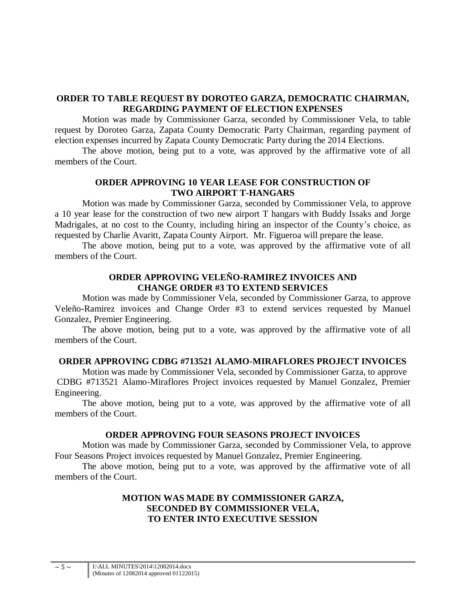## **ORDER TO TABLE REQUEST BY DOROTEO GARZA, DEMOCRATIC CHAIRMAN, REGARDING PAYMENT OF ELECTION EXPENSES**

Motion was made by Commissioner Garza, seconded by Commissioner Vela, to table request by Doroteo Garza, Zapata County Democratic Party Chairman, regarding payment of election expenses incurred by Zapata County Democratic Party during the 2014 Elections.

The above motion, being put to a vote, was approved by the affirmative vote of all members of the Court.

## **ORDER APPROVING 10 YEAR LEASE FOR CONSTRUCTION OF TWO AIRPORT T-HANGARS**

Motion was made by Commissioner Garza, seconded by Commissioner Vela, to approve a 10 year lease for the construction of two new airport T hangars with Buddy Issaks and Jorge Madrigales, at no cost to the County, including hiring an inspector of the County's choice, as requested by Charlie Avaritt, Zapata County Airport. Mr. Figueroa will prepare the lease.

The above motion, being put to a vote, was approved by the affirmative vote of all members of the Court.

## **ORDER APPROVING VELEÑO-RAMIREZ INVOICES AND CHANGE ORDER #3 TO EXTEND SERVICES**

Motion was made by Commissioner Vela, seconded by Commissioner Garza, to approve Veleño-Ramirez invoices and Change Order #3 to extend services requested by Manuel Gonzalez, Premier Engineering.

The above motion, being put to a vote, was approved by the affirmative vote of all members of the Court.

# **ORDER APPROVING CDBG #713521 ALAMO-MIRAFLORES PROJECT INVOICES**

Motion was made by Commissioner Vela, seconded by Commissioner Garza, to approve CDBG #713521 Alamo-Miraflores Project invoices requested by Manuel Gonzalez, Premier Engineering.

The above motion, being put to a vote, was approved by the affirmative vote of all members of the Court.

### **ORDER APPROVING FOUR SEASONS PROJECT INVOICES**

Motion was made by Commissioner Garza, seconded by Commissioner Vela, to approve Four Seasons Project invoices requested by Manuel Gonzalez, Premier Engineering.

The above motion, being put to a vote, was approved by the affirmative vote of all members of the Court.

# **MOTION WAS MADE BY COMMISSIONER GARZA, SECONDED BY COMMISSIONER VELA, TO ENTER INTO EXECUTIVE SESSION**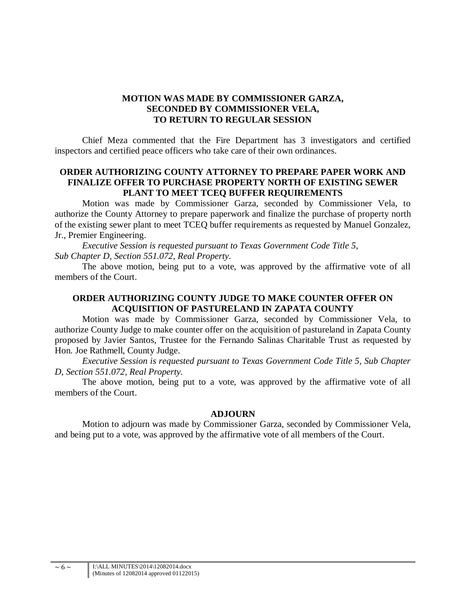# **MOTION WAS MADE BY COMMISSIONER GARZA, SECONDED BY COMMISSIONER VELA, TO RETURN TO REGULAR SESSION**

Chief Meza commented that the Fire Department has 3 investigators and certified inspectors and certified peace officers who take care of their own ordinances.

## **ORDER AUTHORIZING COUNTY ATTORNEY TO PREPARE PAPER WORK AND FINALIZE OFFER TO PURCHASE PROPERTY NORTH OF EXISTING SEWER PLANT TO MEET TCEQ BUFFER REQUIREMENTS**

Motion was made by Commissioner Garza, seconded by Commissioner Vela, to authorize the County Attorney to prepare paperwork and finalize the purchase of property north of the existing sewer plant to meet TCEQ buffer requirements as requested by Manuel Gonzalez, Jr., Premier Engineering.

*Executive Session is requested pursuant to Texas Government Code Title 5, Sub Chapter D, Section 551.072, Real Property.*

The above motion, being put to a vote, was approved by the affirmative vote of all members of the Court.

## **ORDER AUTHORIZING COUNTY JUDGE TO MAKE COUNTER OFFER ON ACQUISITION OF PASTURELAND IN ZAPATA COUNTY**

Motion was made by Commissioner Garza, seconded by Commissioner Vela, to authorize County Judge to make counter offer on the acquisition of pastureland in Zapata County proposed by Javier Santos, Trustee for the Fernando Salinas Charitable Trust as requested by Hon. Joe Rathmell, County Judge.

*Executive Session is requested pursuant to Texas Government Code Title 5, Sub Chapter D, Section 551.072, Real Property.*

The above motion, being put to a vote, was approved by the affirmative vote of all members of the Court.

### **ADJOURN**

Motion to adjourn was made by Commissioner Garza, seconded by Commissioner Vela, and being put to a vote, was approved by the affirmative vote of all members of the Court.